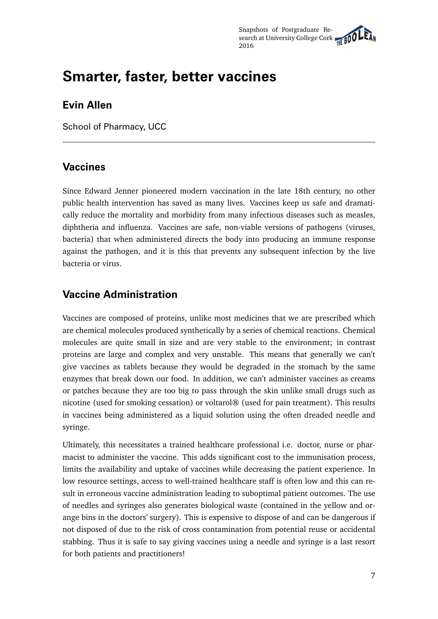# **Smarter, faster, better vaccines**

# **Evin Allen**

School of Pharmacy, UCC

### **Vaccines**

Since Edward Jenner pioneered modern vaccination in the late 18th century, no other public health intervention has saved as many lives. Vaccines keep us safe and dramatically reduce the mortality and morbidity from many infectious diseases such as measles, diphtheria and influenza. Vaccines are safe, non-viable versions of pathogens (viruses, bacteria) that when administered directs the body into producing an immune response against the pathogen, and it is this that prevents any subsequent infection by the live bacteria or virus.

## **Vaccine Administration**

Vaccines are composed of proteins, unlike most medicines that we are prescribed which are chemical molecules produced synthetically by a series of chemical reactions. Chemical molecules are quite small in size and are very stable to the environment; in contrast proteins are large and complex and very unstable. This means that generally we can't give vaccines as tablets because they would be degraded in the stomach by the same enzymes that break down our food. In addition, we can't administer vaccines as creams or patches because they are too big to pass through the skin unlike small drugs such as nicotine (used for smoking cessation) or voltarol® (used for pain treatment). This results in vaccines being administered as a liquid solution using the often dreaded needle and syringe.

Ultimately, this necessitates a trained healthcare professional i.e. doctor, nurse or pharmacist to administer the vaccine. This adds significant cost to the immunisation process, limits the availability and uptake of vaccines while decreasing the patient experience. In low resource settings, access to well-trained healthcare staff is often low and this can result in erroneous vaccine administration leading to suboptimal patient outcomes. The use of needles and syringes also generates biological waste (contained in the yellow and orange bins in the doctors' surgery). This is expensive to dispose of and can be dangerous if not disposed of due to the risk of cross contamination from potential reuse or accidental stabbing. Thus it is safe to say giving vaccines using a needle and syringe is a last resort for both patients and practitioners!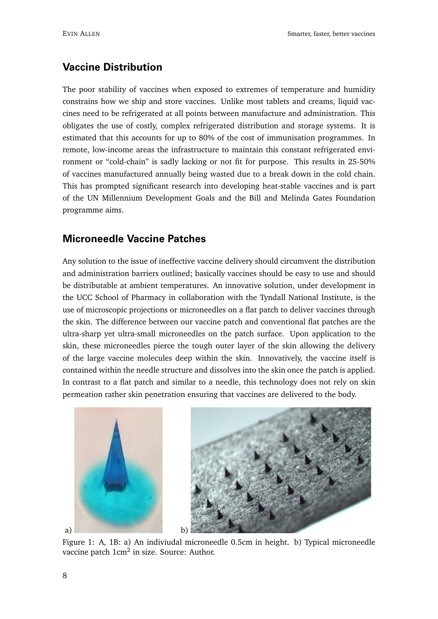### **Vaccine Distribution**

The poor stability of vaccines when exposed to extremes of temperature and humidity constrains how we ship and store vaccines. Unlike most tablets and creams, liquid vaccines need to be refrigerated at all points between manufacture and administration. This obligates the use of costly, complex refrigerated distribution and storage systems. It is estimated that this accounts for up to 80% of the cost of immunisation programmes. In remote, low-income areas the infrastructure to maintain this constant refrigerated environment or "cold-chain" is sadly lacking or not fit for purpose. This results in 25-50% of vaccines manufactured annually being wasted due to a break down in the cold chain. This has prompted significant research into developing heat-stable vaccines and is part of the UN Millennium Development Goals and the Bill and Melinda Gates Foundation programme aims.

### **Microneedle Vaccine Patches**

Any solution to the issue of ineffective vaccine delivery should circumvent the distribution and administration barriers outlined; basically vaccines should be easy to use and should be distributable at ambient temperatures. An innovative solution, under development in the UCC School of Pharmacy in collaboration with the Tyndall National Institute, is the use of microscopic projections or microneedles on a flat patch to deliver vaccines through the skin. The difference between our vaccine patch and conventional flat patches are the ultra-sharp yet ultra-small microneedles on the patch surface. Upon application to the skin, these microneedles pierce the tough outer layer of the skin allowing the delivery of the large vaccine molecules deep within the skin. Innovatively, the vaccine itself is contained within the needle structure and dissolves into the skin once the patch is applied. In contrast to a flat patch and similar to a needle, this technology does not rely on skin permeation rather skin penetration ensuring that vaccines are delivered to the body.



Figure 1: A, 1B: a) An indiviudal microneedle 0.5cm in height. b) Typical microneedle vaccine patch 1cm<sup>2</sup> in size. Source: Author.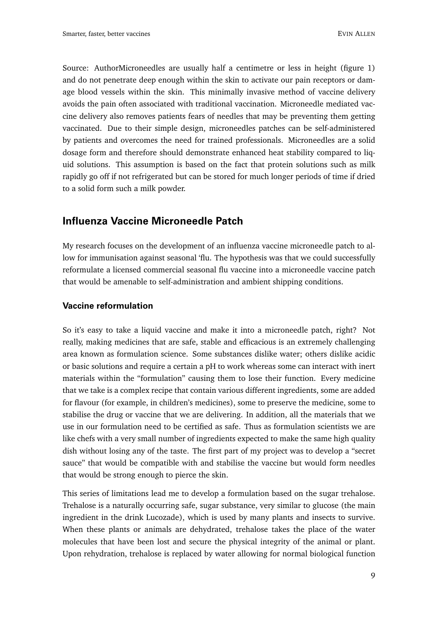Source: AuthorMicroneedles are usually half a centimetre or less in height (figure 1) and do not penetrate deep enough within the skin to activate our pain receptors or damage blood vessels within the skin. This minimally invasive method of vaccine delivery avoids the pain often associated with traditional vaccination. Microneedle mediated vaccine delivery also removes patients fears of needles that may be preventing them getting vaccinated. Due to their simple design, microneedles patches can be self-administered by patients and overcomes the need for trained professionals. Microneedles are a solid dosage form and therefore should demonstrate enhanced heat stability compared to liquid solutions. This assumption is based on the fact that protein solutions such as milk rapidly go off if not refrigerated but can be stored for much longer periods of time if dried to a solid form such a milk powder.

### **Influenza Vaccine Microneedle Patch**

My research focuses on the development of an influenza vaccine microneedle patch to allow for immunisation against seasonal 'flu. The hypothesis was that we could successfully reformulate a licensed commercial seasonal flu vaccine into a microneedle vaccine patch that would be amenable to self-administration and ambient shipping conditions.

#### **Vaccine reformulation**

So it's easy to take a liquid vaccine and make it into a microneedle patch, right? Not really, making medicines that are safe, stable and efficacious is an extremely challenging area known as formulation science. Some substances dislike water; others dislike acidic or basic solutions and require a certain a pH to work whereas some can interact with inert materials within the "formulation" causing them to lose their function. Every medicine that we take is a complex recipe that contain various different ingredients, some are added for flavour (for example, in children's medicines), some to preserve the medicine, some to stabilise the drug or vaccine that we are delivering. In addition, all the materials that we use in our formulation need to be certified as safe. Thus as formulation scientists we are like chefs with a very small number of ingredients expected to make the same high quality dish without losing any of the taste. The first part of my project was to develop a "secret sauce" that would be compatible with and stabilise the vaccine but would form needles that would be strong enough to pierce the skin.

This series of limitations lead me to develop a formulation based on the sugar trehalose. Trehalose is a naturally occurring safe, sugar substance, very similar to glucose (the main ingredient in the drink Lucozade), which is used by many plants and insects to survive. When these plants or animals are dehydrated, trehalose takes the place of the water molecules that have been lost and secure the physical integrity of the animal or plant. Upon rehydration, trehalose is replaced by water allowing for normal biological function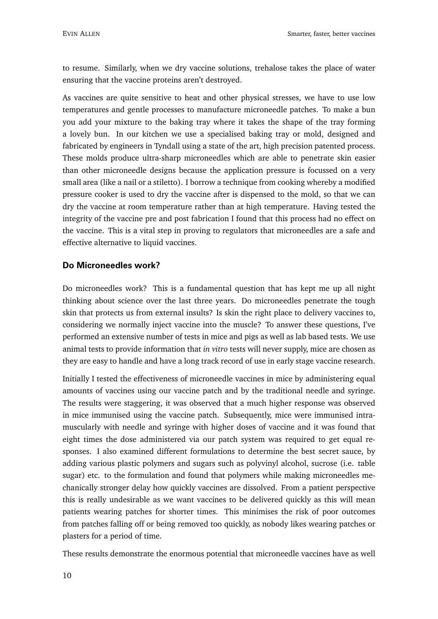to resume. Similarly, when we dry vaccine solutions, trehalose takes the place of water ensuring that the vaccine proteins aren't destroyed.

As vaccines are quite sensitive to heat and other physical stresses, we have to use low temperatures and gentle processes to manufacture microneedle patches. To make a bun you add your mixture to the baking tray where it takes the shape of the tray forming a lovely bun. In our kitchen we use a specialised baking tray or mold, designed and fabricated by engineers in Tyndall using a state of the art, high precision patented process. These molds produce ultra-sharp microneedles which are able to penetrate skin easier than other microneedle designs because the application pressure is focussed on a very small area (like a nail or a stiletto). I borrow a technique from cooking whereby a modified pressure cooker is used to dry the vaccine after is dispensed to the mold, so that we can dry the vaccine at room temperature rather than at high temperature. Having tested the integrity of the vaccine pre and post fabrication I found that this process had no effect on the vaccine. This is a vital step in proving to regulators that microneedles are a safe and effective alternative to liquid vaccines.

#### **Do Microneedles work?**

Do microneedles work? This is a fundamental question that has kept me up all night thinking about science over the last three years. Do microneedles penetrate the tough skin that protects us from external insults? Is skin the right place to delivery vaccines to, considering we normally inject vaccine into the muscle? To answer these questions, I've performed an extensive number of tests in mice and pigs as well as lab based tests. We use animal tests to provide information that *in vitro* tests will never supply, mice are chosen as they are easy to handle and have a long track record of use in early stage vaccine research.

Initially I tested the effectiveness of microneedle vaccines in mice by administering equal amounts of vaccines using our vaccine patch and by the traditional needle and syringe. The results were staggering, it was observed that a much higher response was observed in mice immunised using the vaccine patch. Subsequently, mice were immunised intramuscularly with needle and syringe with higher doses of vaccine and it was found that eight times the dose administered via our patch system was required to get equal responses. I also examined different formulations to determine the best secret sauce, by adding various plastic polymers and sugars such as polyvinyl alcohol, sucrose (i.e. table sugar) etc. to the formulation and found that polymers while making microneedles mechanically stronger delay how quickly vaccines are dissolved. From a patient perspective this is really undesirable as we want vaccines to be delivered quickly as this will mean patients wearing patches for shorter times. This minimises the risk of poor outcomes from patches falling off or being removed too quickly, as nobody likes wearing patches or plasters for a period of time.

These results demonstrate the enormous potential that microneedle vaccines have as well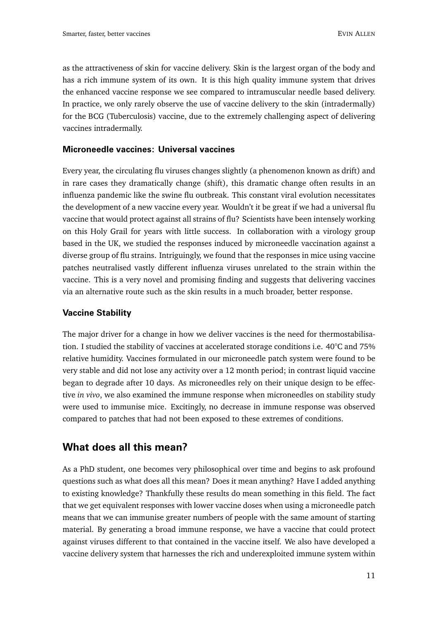as the attractiveness of skin for vaccine delivery. Skin is the largest organ of the body and has a rich immune system of its own. It is this high quality immune system that drives the enhanced vaccine response we see compared to intramuscular needle based delivery. In practice, we only rarely observe the use of vaccine delivery to the skin (intradermally) for the BCG (Tuberculosis) vaccine, due to the extremely challenging aspect of delivering vaccines intradermally.

#### **Microneedle vaccines: Universal vaccines**

Every year, the circulating flu viruses changes slightly (a phenomenon known as drift) and in rare cases they dramatically change (shift), this dramatic change often results in an influenza pandemic like the swine flu outbreak. This constant viral evolution necessitates the development of a new vaccine every year. Wouldn't it be great if we had a universal flu vaccine that would protect against all strains of flu? Scientists have been intensely working on this Holy Grail for years with little success. In collaboration with a virology group based in the UK, we studied the responses induced by microneedle vaccination against a diverse group of flu strains. Intriguingly, we found that the responses in mice using vaccine patches neutralised vastly different influenza viruses unrelated to the strain within the vaccine. This is a very novel and promising finding and suggests that delivering vaccines via an alternative route such as the skin results in a much broader, better response.

#### **Vaccine Stability**

The major driver for a change in how we deliver vaccines is the need for thermostabilisation. I studied the stability of vaccines at accelerated storage conditions i.e. 40°C and 75% relative humidity. Vaccines formulated in our microneedle patch system were found to be very stable and did not lose any activity over a 12 month period; in contrast liquid vaccine began to degrade after 10 days. As microneedles rely on their unique design to be effective *in vivo*, we also examined the immune response when microneedles on stability study were used to immunise mice. Excitingly, no decrease in immune response was observed compared to patches that had not been exposed to these extremes of conditions.

### **What does all this mean?**

As a PhD student, one becomes very philosophical over time and begins to ask profound questions such as what does all this mean? Does it mean anything? Have I added anything to existing knowledge? Thankfully these results do mean something in this field. The fact that we get equivalent responses with lower vaccine doses when using a microneedle patch means that we can immunise greater numbers of people with the same amount of starting material. By generating a broad immune response, we have a vaccine that could protect against viruses different to that contained in the vaccine itself. We also have developed a vaccine delivery system that harnesses the rich and underexploited immune system within